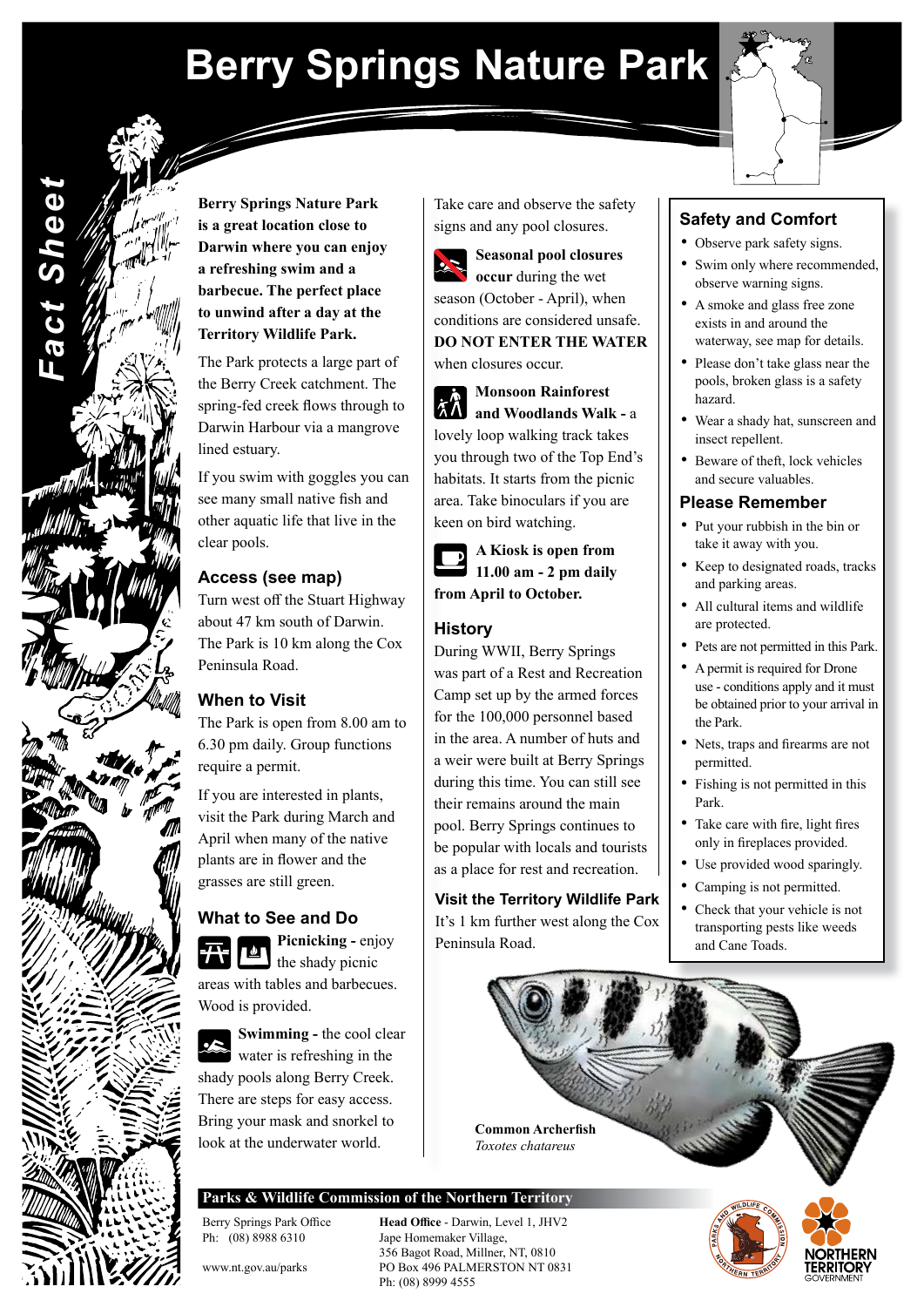# **Berry Springs Nature Park**



**Berry Springs Nature Park is a great location close to Darwin where you can enjoy a refreshing swim and a barbecue. The perfect place to unwind after a day at the Territory Wildlife Park.**

*Fact Sheet*

**Fact Sheei** 

The Park protects a large part of the Berry Creek catchment. The spring-fed creek flows through to Darwin Harbour via a mangrove lined estuary.

If you swim with goggles you can see many small native fish and other aquatic life that live in the clear pools.

### **Access (see map)**

Turn west off the Stuart Highway about 47 km south of Darwin. The Park is 10 km along the Cox Peninsula Road.

## **When to Visit**

The Park is open from 8.00 am to 6.30 pm daily. Group functions require a permit.

If you are interested in plants, visit the Park during March and April when many of the native plants are in flower and the grasses are still green.

### **What to See and Do**

**Picnicking -** enjoy I the shady picnic areas with tables and barbecues. Wood is provided.



**Swimming - the cool clear** water is refreshing in the shady pools along Berry Creek. There are steps for easy access. Bring your mask and snorkel to look at the underwater world.

Take care and observe the safety signs and any pool closures.

**Seasonal pool closures occur** during the wet season (October - April), when conditions are considered unsafe. **DO NOT ENTER THE WATER**  when closures occur.

**Monsoon Rainforest and Woodlands Walk -** a lovely loop walking track takes you through two of the Top End's habitats. It starts from the picnic area. Take binoculars if you are keen on bird watching.

**A Kiosk is open from 11.00 am - 2 pm daily from April to October.**

#### **History**

During WWII, Berry Springs was part of a Rest and Recreation Camp set up by the armed forces for the 100,000 personnel based in the area. A number of huts and a weir were built at Berry Springs during this time. You can still see their remains around the main pool. Berry Springs continues to be popular with locals and tourists as a place for rest and recreation.

**Visit the Territory Wildlife Park**

It's 1 km further west along the Cox Peninsula Road.

# **Safety and Comfort**

- Observe park safety signs.
- Swim only where recommended, observe warning signs.
- A smoke and glass free zone exists in and around the waterway, see map for details.
- Please don't take glass near the pools, broken glass is a safety hazard.
- Wear a shady hat, sunscreen and insect repellent.
- Beware of theft, lock vehicles and secure valuables.

#### **Please Remember**

- Put your rubbish in the bin or take it away with you.
- Keep to designated roads, tracks and parking areas.
- All cultural items and wildlife are protected.
- Pets are not permitted in this Park.
- A permit is required for Drone use - conditions apply and it must be obtained prior to your arrival in the Park.
- Nets, traps and firearms are not permitted.
- Fishing is not permitted in this Park.
- Take care with fire, light fires only in fireplaces provided.
- Use provided wood sparingly.
- Camping is not permitted.
- Check that your vehicle is not transporting pests like weeds and Cane Toads.



**Parks & Wildlife Commission of the Northern Territory**

Ph: (08) 8988 6310 Jape Homemaker Village,

Berry Springs Park Office **Head Office** - Darwin, Level 1, JHV2 356 Bagot Road, Millner, NT, 0810 www.nt.gov.au/parks PO Box 496 PALMERSTON NT 0831 Ph: (08) 8999 4555